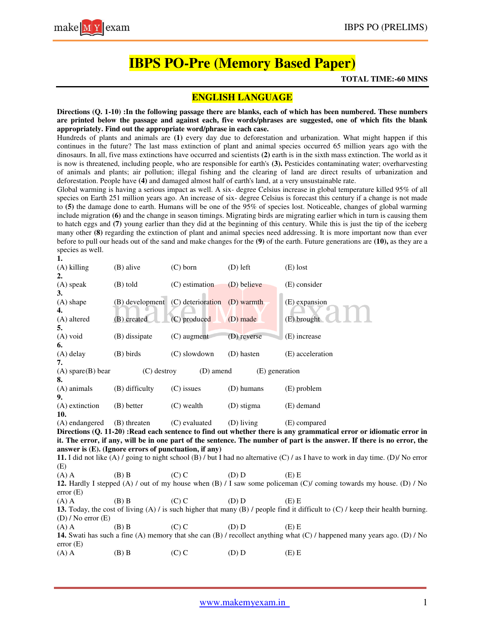# **IBPS PO-Pre (Memory Based Paper)**

#### **TOTAL TIME:-60 MINS**

## **ENGLISH LANGUAGE**

**Directions (Q. 1-10) :In the following passage there are blanks, each of which has been numbered. These numbers are printed below the passage and against each, five words/phrases are suggested, one of which fits the blank appropriately. Find out the appropriate word/phrase in each case.**

Hundreds of plants and animals are **(1)** every day due to deforestation and urbanization. What might happen if this continues in the future? The last mass extinction of plant and animal species occurred 65 million years ago with the dinosaurs. In all, five mass extinctions have occurred and scientists **(2)** earth is in the sixth mass extinction. The world as it is now is threatened, including people, who are responsible for earth's (3). Pesticides contaminating water; overharvesting of animals and plants; air pollution; illegal fishing and the clearing of land are direct results of urbanization and deforestation. People have **(4)** and damaged almost half of earth's land, at a very unsustainable rate.

Global warming is having a serious impact as well. A six- degree Celsius increase in global temperature killed 95% of all species on Earth 251 million years ago. An increase of six- degree Celsius is forecast this century if a change is not made to **(5)** the damage done to earth. Humans will be one of the 95% of species lost. Noticeable, changes of global warming include migration **(6)** and the change in season timings. Migrating birds are migrating earlier which in turn is causing them to hatch eggs and **(7)** young earlier than they did at the beginning of this century. While this is just the tip of the iceberg many other **(8)** regarding the extinction of plant and animal species need addressing. It is more important now than ever before to pull our heads out of the sand and make changes for the **(9)** of the earth. Future generations are **(10),** as they are a species as well.

| 1.                                                                                                                                                                                                                                            |                                                       |                   |                |                                                                                                                                   |
|-----------------------------------------------------------------------------------------------------------------------------------------------------------------------------------------------------------------------------------------------|-------------------------------------------------------|-------------------|----------------|-----------------------------------------------------------------------------------------------------------------------------------|
| $(A)$ killing                                                                                                                                                                                                                                 | (B) alive                                             | $(C)$ born        | $(D)$ left     | $(E)$ lost                                                                                                                        |
| 2.<br>(A) speak                                                                                                                                                                                                                               | (B) told                                              | (C) estimation    | (D) believe    | (E) consider                                                                                                                      |
| 3.                                                                                                                                                                                                                                            |                                                       |                   |                |                                                                                                                                   |
| (A) shape                                                                                                                                                                                                                                     | (B) development                                       | (C) deterioration | (D) warmth     | (E) expansion                                                                                                                     |
| 4.                                                                                                                                                                                                                                            |                                                       |                   |                |                                                                                                                                   |
| (A) altered<br>5.                                                                                                                                                                                                                             | (B) created                                           | $(C)$ produced    | (D) made       | (E) brought                                                                                                                       |
| (A) void                                                                                                                                                                                                                                      | (B) dissipate                                         | $(C)$ augment     | (D) reverse    | (E) increase                                                                                                                      |
| 6.                                                                                                                                                                                                                                            |                                                       |                   |                |                                                                                                                                   |
| (A) delay                                                                                                                                                                                                                                     | (B) birds                                             | $(C)$ slowdown    | (D) hasten     | (E) acceleration                                                                                                                  |
| 7.                                                                                                                                                                                                                                            |                                                       |                   |                |                                                                                                                                   |
| $(A)$ spare $(B)$ bear                                                                                                                                                                                                                        | $(C)$ destroy                                         | (D) amend         | (E) generation |                                                                                                                                   |
| 8.                                                                                                                                                                                                                                            |                                                       |                   |                |                                                                                                                                   |
| (A) animals<br>9.                                                                                                                                                                                                                             | (B) difficulty                                        | $(C)$ issues      | (D) humans     | (E) problem                                                                                                                       |
| (A) extinction<br>10.                                                                                                                                                                                                                         | (B) better                                            | $(C)$ wealth      | (D) stigma     | (E) demand                                                                                                                        |
| (A) endangered                                                                                                                                                                                                                                | (B) threaten                                          | (C) evaluated     | (D) living     | (E) compared                                                                                                                      |
|                                                                                                                                                                                                                                               |                                                       |                   |                |                                                                                                                                   |
| Directions (Q. 11-20): Read each sentence to find out whether there is any grammatical error or idiomatic error in<br>it. The error, if any, will be in one part of the sentence. The number of part is the answer. If there is no error, the |                                                       |                   |                |                                                                                                                                   |
|                                                                                                                                                                                                                                               | answer is (E). (Ignore errors of punctuation, if any) |                   |                |                                                                                                                                   |
|                                                                                                                                                                                                                                               |                                                       |                   |                | 11. I did not like (A) / going to night school (B) / but I had no alternative (C) / as I have to work in day time. (D)/ No error  |
| (E)                                                                                                                                                                                                                                           |                                                       |                   |                |                                                                                                                                   |
| $(A)$ A                                                                                                                                                                                                                                       | $(B)$ B                                               | $(C)$ C           | (D) D          | $(E)$ E                                                                                                                           |
| 12. Hardly I stepped (A) / out of my house when (B) / I saw some policeman (C)/ coming towards my house. (D) / No<br>error(E)                                                                                                                 |                                                       |                   |                |                                                                                                                                   |
| $(A)$ A                                                                                                                                                                                                                                       | $(B)$ B                                               | $(C)$ C           | (D) D          | $(E)$ E                                                                                                                           |
|                                                                                                                                                                                                                                               |                                                       |                   |                | 13. Today, the cost of living (A) / is such higher that many (B) / people find it difficult to $(C)$ / keep their health burning. |
| $(D)$ / No error $(E)$                                                                                                                                                                                                                        |                                                       |                   |                |                                                                                                                                   |
| $(A)$ A                                                                                                                                                                                                                                       | $(B)$ B                                               | $(C)$ C           | (D) D          | $(E)$ E                                                                                                                           |
| error(E)                                                                                                                                                                                                                                      |                                                       |                   |                | 14. Swati has such a fine (A) memory that she can (B) / recollect anything what (C) / happened many years ago. (D) / No           |
| $(A)$ A                                                                                                                                                                                                                                       | $(B)$ B                                               | $(C)$ C           | (D) D          | $(E)$ E                                                                                                                           |
|                                                                                                                                                                                                                                               |                                                       |                   |                |                                                                                                                                   |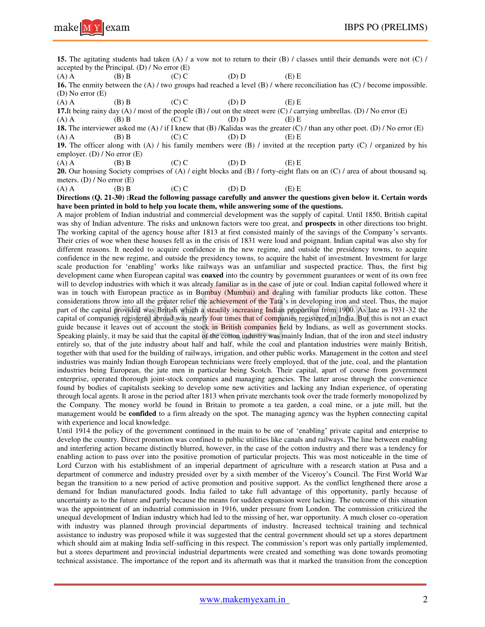

**15.** The agitating students had taken (A) / a vow not to return to their (B) / classes until their demands were not (C) / accepted by the Principal. (D) / No error (E)

(A) A (B) B (C) C (D) D (E) E **16.** The enmity between the (A) / two groups had reached a level (B) / where reconciliation has (C) / become impossible. (D) No error (E)

(A) A (B) B (C) C (D) D (E) E

**17.**It being rainy day (A) / most of the people (B) / out on the street were (C) / carrying umbrellas. (D) / No error (E)

(A) A (B) B (C) C (D) D (E) E **18.** The interviewer asked me (A) / if I knew that (B) /Kalidas was the greater (C) / than any other poet. (D) / No error (E) (A) A (B) B (C) C (D) D (E) E

**19.** The officer along with (A) / his family members were (B) / invited at the reception party (C) / organized by his employer. (D) / No error (E)

(A) A (B) B (C) C (D) D (E) E

**20.** Our housing Society comprises of (A) / eight blocks and (B) / forty-eight flats on an (C) / area of about thousand sq. meters. (D)  $\ell$  No error (E)<br>(A) A (B) B

(A) A (B) B (C) C (D) D (E) E

#### **Directions (Q. 21-30) :Read the following passage carefully and answer the questions given below it. Certain words have been printed in bold to help you locate them, while answering some of the questions.**

A major problem of Indian industrial and commercial development was the supply of capital. Until 1850, British capital was shy of Indian adventure. The risks and unknown factors were too great, and **prospects** in other directions too bright. The working capital of the agency house after 1813 at first consisted mainly of the savings of the Company's servants. Their cries of woe when these houses fell as in the crisis of 1831 were loud and poignant. Indian capital was also shy for different reasons. It needed to acquire confidence in the new regime, and outside the presidency towns, to acquire confidence in the new regime, and outside the presidency towns, to acquire the habit of investment. Investment for large scale production for 'enabling' works like railways was an unfamiliar and suspected practice. Thus, the first big development came when European capital was **coaxed** into the country by government guarantees or went of its own free will to develop industries with which it was already familiar as in the case of jute or coal. Indian capital followed where it was in touch with European practice as in Bombay (Mumbai) and dealing with familiar products like cotton. These considerations throw into all the greater relief the achievement of the Tata's in developing iron and steel. Thus, the major part of the capital provided was British which a steadily increasing Indian proportion from 1900. As late as 1931-32 the capital of companies registered abroad was nearly four times that of companies registered in India. But this is not an exact guide because it leaves out of account the stock in British companies held by Indians, as well as government stocks. Speaking plainly, it may be said that the capital of the cotton industry was mainly Indian, that of the iron and steel industry entirely so, that of the jute industry about half and half, while the coal and plantation industries were mainly British, together with that used for the building of railways, irrigation, and other public works. Management in the cotton and steel industries was mainly Indian though European technicians were freely employed, that of the jute, coal, and the plantation industries being European, the jute men in particular being Scotch. Their capital, apart of course from government enterprise, operated thorough joint-stock companies and managing agencies. The latter arose through the convenience found by bodies of capitalists seeking to develop some new activities and lacking any Indian experience, of operating through local agents. It arose in the period after 1813 when private merchants took over the trade formerly monopolized by the Company. The money world be found in Britain to promote a tea garden, a coal mine, or a jute mill, but the management would be **confided** to a firm already on the spot. The managing agency was the hyphen connecting capital with experience and local knowledge.

Until 1914 the policy of the government continued in the main to be one of 'enabling' private capital and enterprise to develop the country. Direct promotion was confined to public utilities like canals and railways. The line between enabling and interfering action became distinctly blurred, however, in the case of the cotton industry and there was a tendency for enabling action to pass over into the positive promotion of particular projects. This was most noticeable in the time of Lord Curzon with his establishment of an imperial department of agriculture with a research station at Pusa and a department of commerce and industry presided over by a sixth member of the Viceroy's Council. The First World War began the transition to a new period of active promotion and positive support. As the conflict lengthened there arose a demand for Indian manufactured goods. India failed to take full advantage of this opportunity, partly because of uncertainty as to the future and partly because the means for sudden expansion were lacking. The outcome of this situation was the appointment of an industrial commission in 1916, under pressure from London. The commission criticized the unequal development of Indian industry which had led to the missing of her, war opportunity. A much closer co-operation with industry was planned through provincial departments of industry. Increased technical training and technical assistance to industry was proposed while it was suggested that the central government should set up a stores department which should aim at making India self-sufficing in this respect. The commission's report was only partially implemented, but a stores department and provincial industrial departments were created and something was done towards promoting technical assistance. The importance of the report and its aftermath was that it marked the transition from the conception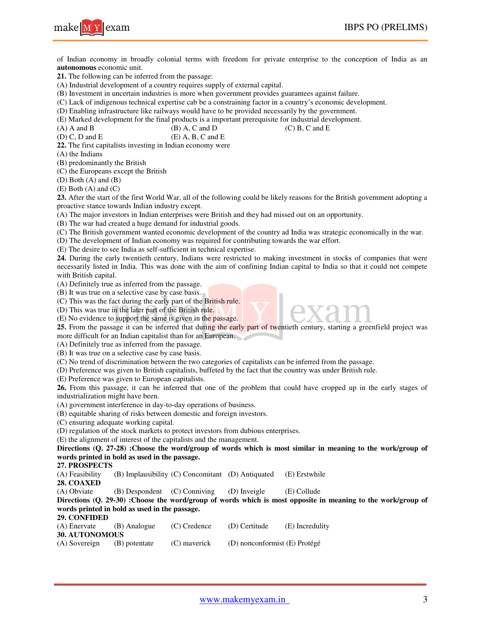

of Indian economy in broadly colonial terms with freedom for private enterprise to the conception of India as an **autonomous** economic unit.

**21.** The following can be inferred from the passage:

(A) Industrial development of a country requires supply of external capital.

(B) Investment in uncertain industries is more when government provides guarantees against failure.

(C) Lack of indigenous technical expertise cab be a constraining factor in a country's economic development.

(D) Enabling infrastructure like railways would have to be provided necessarily by the government.

(E) Marked development for the final products is a important prerequisite for industrial development.

(A) A and B (B) A, C and D (C) B, C and E (D) C, D and E (E) A, B, C and E  $(E)$  A, B, C and E

**22.** The first capitalists investing in Indian economy were

(A) the Indians

(B) predominantly the British

(C) the Europeans except the British

(D) Both (A) and (B)

(E) Both (A) and (C)

**23.** After the start of the first World War, all of the following could be likely reasons for the British government adopting a proactive stance towards Indian industry except.

(A) The major investors in Indian enterprises were British and they had missed out on an opportunity.

(B) The war had created a huge demand for industrial goods.

(C) The British government wanted economic development of the country ad India was strategic economically in the war.

(D) The development of Indian economy was required for contributing towards the war effort.

(E) The desire to see India as self-sufficient in technical expertise.

**24.** During the early twentieth century, Indians were restricted to making investment in stocks of companies that were necessarily listed in India. This was done with the aim of confining Indian capital to India so that it could not compete with British capital.

(A) Definitely true as inferred from the passage.

(B) It was true on a selective case by case basis.

(C) This was the fact during the early part of the British rule.

(D) This was true in the later part of the British rule.

(E) No evidence to support the same is given in the passage.

**25.** From the passage it can be inferred that during the early part of twentieth century, starting a greenfield project was more difficult for an Indian capitalist than for an European.

(A) Definitely true as inferred from the passage.

(B) It was true on a selective case by case basis.

(C) No trend of discrimination between the two categories of capitalists can be inferred from the passage.

(D) Preference was given to British capitalists, buffeted by the fact that the country was under British rule.

(E) Preference was given to European capitalists.

**26.** From this passage, it can be inferred that one of the problem that could have cropped up in the early stages of industrialization might have been.

(A) government interference in day-to-day operations of business.

(B) equitable sharing of risks between domestic and foreign investors.

(C) ensuring adequate working capital.

(D) regulation of the stock markets to protect investors from dubious enterprises.

(E) the alignment of interest of the capitalists and the management.

**Directions (Q. 27-28) :Choose the word/group of words which is most similar in meaning to the work/group of words printed in bold as used in the passage.**

**27. PROSPECTS**

(A) Feasibility (B) Implausibility (C) Concomitant (D) Antiquated (E) Erstwhile

**28. COAXED**

(A) Obviate (B) Despondent (C) Conniving (D) Inveigle (E) Collude

**Directions (Q. 29-30) :Choose the word/group of words which is most opposite in meaning to the work/group of words printed in bold as used in the passage.**

### **29. CONFIDED**

| (A) Enervate          | (B) Analogue  | $(C)$ Credence | (D) Certitude                 | (E) Incredulity |
|-----------------------|---------------|----------------|-------------------------------|-----------------|
| <b>30. AUTONOMOUS</b> |               |                |                               |                 |
| (A) Sovereign         | (B) potentate | (C) mayerick   | (D) nonconformist (E) Protégé |                 |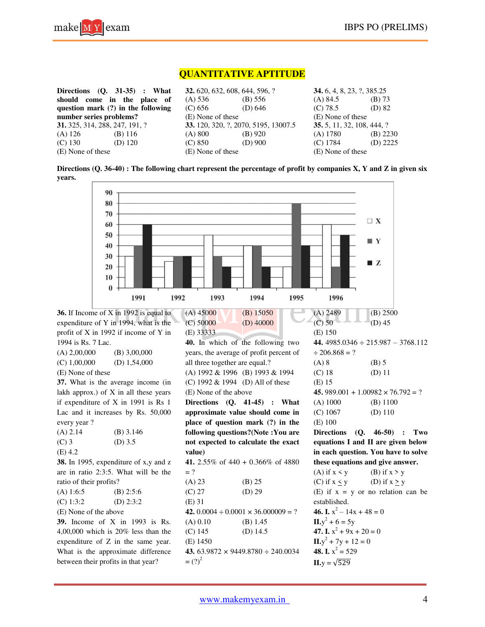

# **QUANTITATIVE APTITUDE**

|                         | Directions $(Q. 31-35)$ : What        | <b>32.</b> 620, 632, 608, 644, 596, ? |                                      | <b>34.</b> 6, 4, 8, 23, ?, 385.25 |            |
|-------------------------|---------------------------------------|---------------------------------------|--------------------------------------|-----------------------------------|------------|
|                         | should come in the place of           | (A) 536                               | (B) 556                              | $(A)$ 84.5                        | (B) 73     |
|                         | question mark (?) in the following    | (C) 656                               | (D) $646$                            | (C) 78.5                          | $(D)$ 82   |
| number series problems? |                                       | (E) None of these                     |                                      | (E) None of these                 |            |
|                         | <b>31.</b> 325, 314, 288, 247, 191, ? |                                       | 33. 120, 320, ?, 2070, 5195, 13007.5 | 35. 5, 11, 32, 108, 444, ?        |            |
| (A) 126                 | $(B)$ 116                             | (A) 800                               | $(B)$ 920                            | $(A)$ 1780                        | $(B)$ 2230 |
| $(C)$ 130               | (D) $120$                             | (C) 850                               | $(D)$ 900                            | $(C)$ 1784                        | $(D)$ 2225 |
| (E) None of these       |                                       | (E) None of these                     |                                      | (E) None of these                 |            |
|                         |                                       |                                       |                                      |                                   |            |

**Directions (Q. 36-40) : The following chart represent the percentage of profit by companies X, Y and Z in given six years.** 

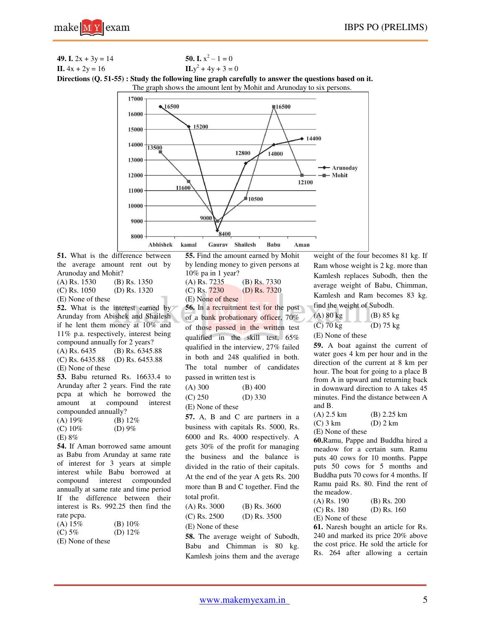**49.** I. 
$$
2x + 3y = 14
$$
  
\n**50.** I.  $x^2 - 1 = 0$   
\nII.  $4x + 2y = 16$   
\n**51.**  $x^2 - 1 = 0$   
\nIII.  $y^2 + 4y + 3 = 0$ 

**Directions (Q. 51-55) : Study the following line graph carefully to answer the questions based on it.** 

The graph shows the amount lent by Mohit and Arunoday to six persons.



**51.** What is the difference between the average amount rent out by Arunoday and Mohit? (A) Rs. 1530 (B) Rs. 1350 (C) Rs. 1050 (D) Rs. 1320 (E) None of these **52.** What is the interest earned by Arunday from Abishek and Shailesh if he lent them money at 10% and 11% p.a. respectively, interest being compound annually for 2 years? (A) Rs. 6435 (B) Rs. 6345.88 (C) Rs. 6435.88 (D) Rs. 6453.88 (E) None of these **53.** Babu returned Rs. 16633.4 to Arunday after 2 years. Find the rate pcpa at which he borrowed the

amount at compound interest compounded annually?

- $(A) 19\%$  (B) 12\%  $(C) 10\%$  (D) 9%
- (E) 8%

**54.** If Aman borrowed same amount as Babu from Arunday at same rate of interest for 3 years at simple interest while Babu borrowed at compound interest compounded annually at same rate and time period If the difference between their interest is Rs. 992.25 then find the rate pcpa.

| (A) 15%                            | (B) $10\%$             |
|------------------------------------|------------------------|
| (C) 5%                             | (D) $12\%$             |
| $\sim$ $\sim$ $\sim$ $\sim$ $\sim$ | $\sim$ $\cdot$ $\cdot$ |

(E) None of these

**55.** Find the amount earned by Mohit by lending money to given persons at 10% pa in 1 year? (A) Rs. 7235 (B) Rs. 7330  $(C)$  Rs.  $7230$  (D) Rs.  $7320$ (E) None of these **56.** In a recruitment test for the post of a bank probationary officer, 70% of those passed in the written test qualified in the skill test, 65% qualified in the interview, 27% failed in both and 248 qualified in both. The total number of candidates passed in written test is  $(A) 300$  (B) 400 (C) 250 (D) 330 (E) None of these **57.** A, B and C are partners in a business with capitals Rs. 5000, Rs. 6000 and Rs. 4000 respectively. A gets 30% of the profit for managing the business and the balance is divided in the ratio of their capitals. At the end of the year A gets Rs. 200 more than B and C together. Find the total profit. (A) Rs. 3000 (B) Rs. 3600 (C) Rs. 2500 (D) Rs. 3500 (E) None of these

**58.** The average weight of Subodh, Babu and Chimman is 80 kg. Kamlesh joins them and the average weight of the four becomes 81 kg. If Ram whose weight is 2 kg. more than Kamlesh replaces Subodh, then the average weight of Babu, Chimman, Kamlesh and Ram becomes 83 kg. find the weight of Subodh.

| $(A)$ 80 kg       | $(B)$ 85 kg         |
|-------------------|---------------------|
| $(C)$ 70 kg       | (D) $75 \text{ kg}$ |
| (E) None of these |                     |

**59.** A boat against the current of water goes 4 km per hour and in the direction of the current at 8 km per hour. The boat for going to a place B from A in upward and returning back in downward direction to A takes 45 minutes. Find the distance between A

```
and B.<br>(A) 2.5 \text{ km}(B) 2.25 km
(C) 3 km (D) 2 km
```
(E) None of these

**60.**Ramu, Pappe and Buddha hired a meadow for a certain sum. Ramu puts 40 cows for 10 months. Pappe puts 50 cows for 5 months and Buddha puts 70 cows for 4 months. If Ramu paid Rs. 80. Find the rent of the meadow.

(A) Rs. 190 (B) Rs. 200 (C) Rs. 180 (D) Rs. 160 (E) None of these

**61.** Naresh bought an article for Rs. 240 and marked its price 20% above the cost price. He sold the article for Rs. 264 after allowing a certain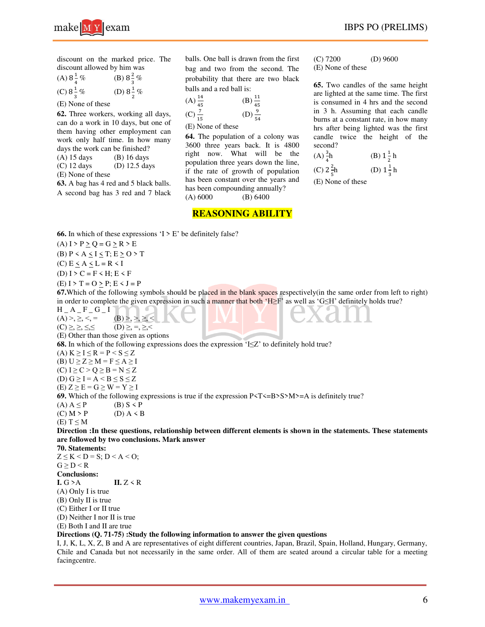discount on the marked price. The discount allowed by him was

(A)  $8\frac{1}{4}$  $\ddot{\phantom{0}}$ % (B)  $8\frac{2}{3}\%$ ଷ (C)  $8\frac{1}{3}$ % (D)  $8\frac{1}{2}\%$ 

ଷ (E) None of these

**62.** Three workers, working all days, can do a work in 10 days, but one of them having other employment can work only half time. In how many days the work can be finished? (A) 15 days (B) 16 days

 $\overline{\mathbf{c}}$ 

(C) 12 days (D) 12.5 days

(E) None of these

**63.** A bag has 4 red and 5 black balls. A second bag has 3 red and 7 black

balls. One ball is drawn from the first bag and two from the second. The probability that there are two black balls and a red ball is:

(A) 
$$
\frac{14}{45}
$$
 (B)  $\frac{11}{45}$   
(C)  $\frac{7}{15}$  (D)  $\frac{9}{54}$ 

 $(E)$  None of these

**64.** The population of a colony was 3600 three years back. It is 4800 right now. What will be the population three years down the line, if the rate of growth of population has been constant over the years and has been compounding annually?  $(A) 6000$  (B) 6400

**REASONING ABILITY** 

(C) 7200 (D) 9600

(E) None of these

**65.** Two candles of the same height are lighted at the same time. The first is consumed in 4 hrs and the second in 3 h. Assuming that each candle burns at a constant rate, in how many hrs after being lighted was the first candle twice the height of the second?

(A) 
$$
\frac{3}{4}
$$
h (B)  $1\frac{1}{2}$ h

(C) 
$$
2\frac{2}{5}h
$$
 (D)  $1\frac{1}{3}h$ 

 $(E)$  None of these

(A)  $I > P \ge Q = G \ge R > E$ (B)  $P < A < I < T$ ;  $E > O > T$ 

**66.** In which of these expressions  $I > E'$  be definitely false?

(C)  $E \leq A \leq L = R \leq I$ 

(D) I > C = F < H; E < F

 $(E) I > T = O \ge P$ ;  $E < J = P$ 

**67.**Which of the following symbols should be placed in the blank spaces respectively(in the same order from left to right) in order to complete the given expression in such a manner that both 'H≥F' as well as 'G≤H' definitely holds true?

 $H_A_F - F_G I$ 

(A) >, ≥, <, = (B) >, >, ≥, <  $(C) \geq, \geq, \leq, \leq$   $(D) \geq, \geq, \geq, \leq$ 

(E) Other than those given as options

**68.** In which of the following expressions does the expression 'I≤Z' to definitely hold true?

(A)  $K \geq I \leq R = P \leq S \leq Z$ 

(B)  $U \ge Z \ge M = F \le A \ge I$ 

(C)  $I \ge C > Q \ge B = N \le Z$ (D)  $G \ge I = A < B \le S \le Z$ 

(E)  $Z \ge E = G \ge W = Y \ge I$ 

**69.** Which of the following expressions is true if the expression  $P(T\leq B>S>M>=A$  is definitely true?

 $(A) A \leq P$  (B)  $S \leq P$ 

 $(C) M > P$  (D)  $A \leq B$ 

(E)  $T \leq M$ 

**Direction :In these questions, relationship between different elements is shown in the statements. These statements are followed by two conclusions. Mark answer**

**70. Statements:**  $Z \leq K < D = S$ ;  $D < A < O$ ;  $G \geq D \leq R$ **Conclusions:**   $I. G > A$   $II. Z < R$ (A) Only I is true (B) Only II is true (C) Either I or II true (D) Neither I nor II is true (E) Both I and II are true

## **Directions (Q. 71-75) :Study the following information to answer the given questions**

I, J, K, L, X, Z, B and A are representatives of eight different countries, Japan, Brazil, Spain, Holland, Hungary, Germany, Chile and Canada but not necessarily in the same order. All of them are seated around a circular table for a meeting facingcentre.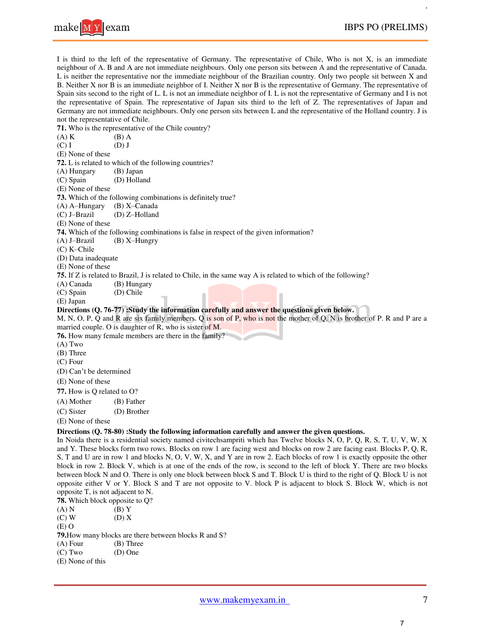

I is third to the left of the representative of Germany. The representative of Chile, Who is not X, is an immediate neighbour of A. B and A are not immediate neighbours. Only one person sits between A and the representative of Canada. L is neither the representative nor the immediate neighbour of the Brazilian country. Only two people sit between X and B. Neither X nor B is an immediate neighbor of I. Neither X nor B is the representative of Germany. The representative of Spain sits second to the right of L. L is not an immediate neighbor of I. L is not the representative of Germany and I is not the representative of Spain. The representative of Japan sits third to the left of Z. The representatives of Japan and Germany are not immediate neighbours. Only one person sits between L and the representative of the Holland country. J is not the representative of Chile.

|                                   | <b>71.</b> Who is the representative of the Chile country?                                                               |
|-----------------------------------|--------------------------------------------------------------------------------------------------------------------------|
| $(A)$ K                           | (B) A                                                                                                                    |
| $(C)$ I                           | $(D)$ J                                                                                                                  |
| (E) None of these                 |                                                                                                                          |
|                                   | 72. L is related to which of the following countries?                                                                    |
| (A) Hungary                       | (B) Japan                                                                                                                |
| (C) Spain                         | (D) Holland                                                                                                              |
| (E) None of these                 |                                                                                                                          |
|                                   | 73. Which of the following combinations is definitely true?                                                              |
| (A) A-Hungary                     | (B) X-Canada                                                                                                             |
| (C) J-Brazil                      | (D) Z-Holland                                                                                                            |
| (E) None of these                 |                                                                                                                          |
| $(A)$ J-Brazil                    | <b>74.</b> Which of the following combinations is false in respect of the given information?<br>$(B)$ X-Hungry           |
| (C) K-Chile                       |                                                                                                                          |
| (D) Data inadequate               |                                                                                                                          |
| (E) None of these                 |                                                                                                                          |
|                                   | 75. If Z is related to Brazil, J is related to Chile, in the same way A is related to which of the following?            |
| (A) Canada                        | (B) Hungary                                                                                                              |
| (C) Spain                         | (D) Chile                                                                                                                |
| (E) Japan                         |                                                                                                                          |
|                                   | Directions (Q. 76-77) :Study the information carefully and answer the questions given below.                             |
|                                   | M, N, O, P, Q and R are six family members. Q is son of P, who is not the mother of Q. N is brother of P. R and P are a  |
|                                   | married couple. O is daughter of R, who is sister of M.                                                                  |
|                                   | 76. How many female members are there in the family?                                                                     |
| $(A)$ Two                         |                                                                                                                          |
| (B) Three                         |                                                                                                                          |
| $(C)$ Four                        |                                                                                                                          |
| (D) Can't be determined           |                                                                                                                          |
| (E) None of these                 |                                                                                                                          |
| 77. How is Q related to O?        |                                                                                                                          |
| (A) Mother                        | (B) Father                                                                                                               |
| (C) Sister                        | (D) Brother                                                                                                              |
| (E) None of these                 |                                                                                                                          |
|                                   | Directions (Q. 78-80) :Study the following information carefully and answer the given questions.                         |
|                                   | In Noida there is a residential society named civitechsampriti which has Twelve blocks N, O, P, Q, R, S, T, U, V, W, X   |
|                                   | and Y. These blocks form two rows. Blocks on row 1 are facing west and blocks on row 2 are facing east. Blocks P, Q, R,  |
|                                   | S, T and U are in row 1 and blocks N, O, V, W, X, and Y are in row 2. Each blocks of row 1 is exactly opposite the other |
|                                   | block in row 2. Block V, which is at one of the ends of the row, is second to the left of block Y. There are two blocks  |
|                                   | between block N and O. There is only one block between block S and T. Block U is third to the right of Q. Block U is not |
|                                   | opposite either V or Y. Block S and T are not opposite to V. block P is adjacent to block S. Block W, which is not       |
| opposite T, is not adjacent to N. |                                                                                                                          |
| 78. Which block opposite to Q?    |                                                                                                                          |
| (A) N                             | $(B)$ Y                                                                                                                  |

 $(C) W$  (D) X (E) O **79.** How many blocks are there between blocks R and S? (A) Four (B) Three  $(B)$  Three<br> $(D)$  One  $(C)$  Two (E) None of this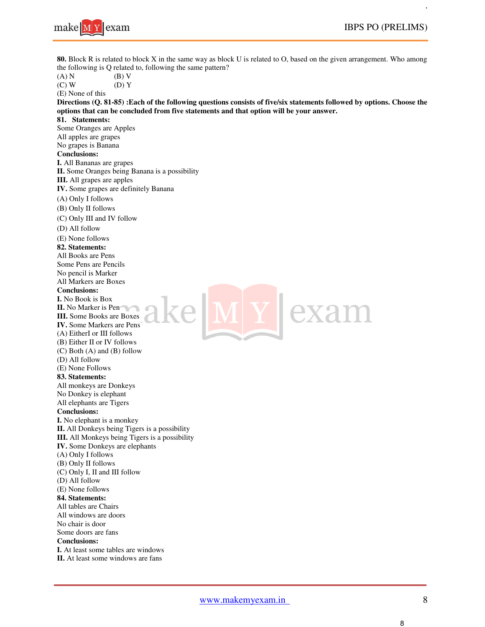

**80.** Block R is related to block X in the same way as block U is related to O, based on the given arrangement. Who among the following is Q related to, following the same pattern? the following is Q related to, following the same pattern?

| the following is Q related to, following the same pattern?                                                              |
|-------------------------------------------------------------------------------------------------------------------------|
| (A) N<br>(B) V                                                                                                          |
| $(C)$ W<br>$(D)$ Y                                                                                                      |
| (E) None of this                                                                                                        |
| Directions (Q. 81-85) : Each of the following questions consists of five/six statements followed by options. Choose the |
| options that can be concluded from five statements and that option will be your answer.                                 |
| 81. Statements:                                                                                                         |
| Some Oranges are Apples<br>All apples are grapes                                                                        |
| No grapes is Banana                                                                                                     |
| <b>Conclusions:</b>                                                                                                     |
| I. All Bananas are grapes                                                                                               |
| II. Some Oranges being Banana is a possibility                                                                          |
| <b>III.</b> All grapes are apples                                                                                       |
| IV. Some grapes are definitely Banana                                                                                   |
| (A) Only I follows                                                                                                      |
| (B) Only II follows                                                                                                     |
| (C) Only III and IV follow                                                                                              |
| (D) All follow                                                                                                          |
|                                                                                                                         |
| (E) None follows<br>82. Statements:                                                                                     |
| All Books are Pens                                                                                                      |
| Some Pens are Pencils                                                                                                   |
| No pencil is Marker                                                                                                     |
| All Markers are Boxes                                                                                                   |
| <b>Conclusions:</b>                                                                                                     |
| <b>I.</b> No Book is Box                                                                                                |
| II. No Marker is Pen                                                                                                    |
| <b>III.</b> Some Books are Boxes                                                                                        |
| <b>IV.</b> Some Markers are Pens                                                                                        |
| (A) EitherI or III follows                                                                                              |
| (B) Either II or IV follows                                                                                             |
| $(C)$ Both $(A)$ and $(B)$ follow                                                                                       |
| (D) All follow                                                                                                          |
| (E) None Follows                                                                                                        |
| 83. Statements:                                                                                                         |
| All monkeys are Donkeys                                                                                                 |
| No Donkey is elephant                                                                                                   |
| All elephants are Tigers<br><b>Conclusions:</b>                                                                         |
| I. No elephant is a monkey                                                                                              |
| II. All Donkeys being Tigers is a possibility                                                                           |
| III. All Monkeys being Tigers is a possibility                                                                          |
| IV. Some Donkeys are elephants                                                                                          |
| (A) Only I follows                                                                                                      |
| (B) Only II follows                                                                                                     |
| (C) Only I, II and III follow                                                                                           |
| (D) All follow                                                                                                          |
| (E) None follows                                                                                                        |
| 84. Statements:                                                                                                         |
| All tables are Chairs                                                                                                   |
| All windows are doors                                                                                                   |
| No chair is door                                                                                                        |
| Some doors are fans                                                                                                     |
| <b>Conclusions:</b>                                                                                                     |
| <b>I.</b> At least some tables are windows                                                                              |
| II. At least some windows are fans                                                                                      |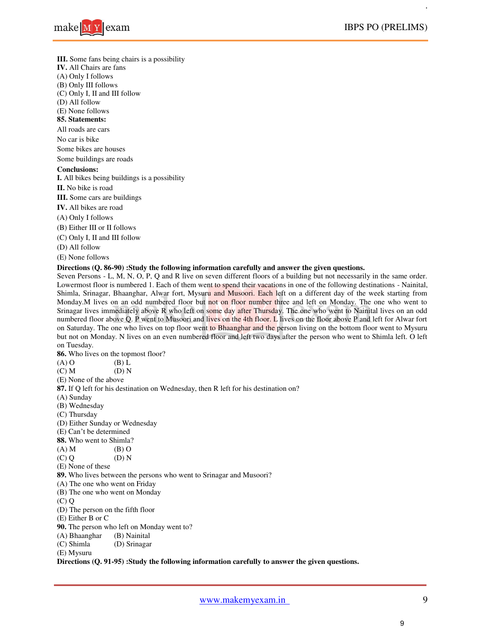

**III.** Some fans being chairs is a possibility

**IV.** All Chairs are fans

(A) Only I follows

(B) Only III follows

(C) Only I, II and III follow

(D) All follow

(E) None follows

# **85. Statements:**

All roads are cars

No car is bike

Some bikes are houses

Some buildings are roads

## **Conclusions:**

**I.** All bikes being buildings is a possibility

**II.** No bike is road

**III.** Some cars are buildings

- **IV.** All bikes are road
- (A) Only I follows
- (B) Either III or II follows
- (C) Only I, II and III follow

(D) All follow

(E) None follows

#### **Directions (Q. 86-90) :Study the following information carefully and answer the given questions.**

Seven Persons - L, M, N, O, P, Q and R live on seven different floors of a building but not necessarily in the same order. Lowermost floor is numbered 1. Each of them went to spend their vacations in one of the following destinations - Nainital, Shimla, Srinagar, Bhaanghar, Alwar fort, Mysuru and Musoori. Each left on a different day of the week starting from Monday.M lives on an odd numbered floor but not on floor number three and left on Monday. The one who went to Srinagar lives immediately above R who left on some day after Thursday. The one who went to Nainital lives on an odd numbered floor above Q. P went to Musoori and lives on the 4th floor. L lives on the floor above P and left for Alwar fort on Saturday. The one who lives on top floor went to Bhaanghar and the person living on the bottom floor went to Mysuru but not on Monday. N lives on an even numbered floor and left two days after the person who went to Shimla left. O left on Tuesday.

**86.** Who lives on the topmost floor?<br>(A) O (B) L

(A) O (B)  $\overline{L}$  (C) M (D) N  $(C)$  M

- (E) None of the above
- **87.** If Q left for his destination on Wednesday, then R left for his destination on?
- (A) Sunday
- (B) Wednesday
- (C) Thursday
- (D) Either Sunday or Wednesday
- (E) Can't be determined
- **88.** Who went to Shimla?
- $(A) M$  (B) O
- $(C) Q$   $(D) N$
- (E) None of these

**89.** Who lives between the persons who went to Srinagar and Musoori?

- (A) The one who went on Friday
- (B) The one who went on Monday
- (C) Q
- (D) The person on the fifth floor
- (E) Either B or C
- **90.** The person who left on Monday went to?
- (A) Bhaanghar (B) Nainital<br>(C) Shimla (D) Srinagar
- (D) Srinagar

(E) Mysuru

**Directions (Q. 91-95) :Study the following information carefully to answer the given questions.**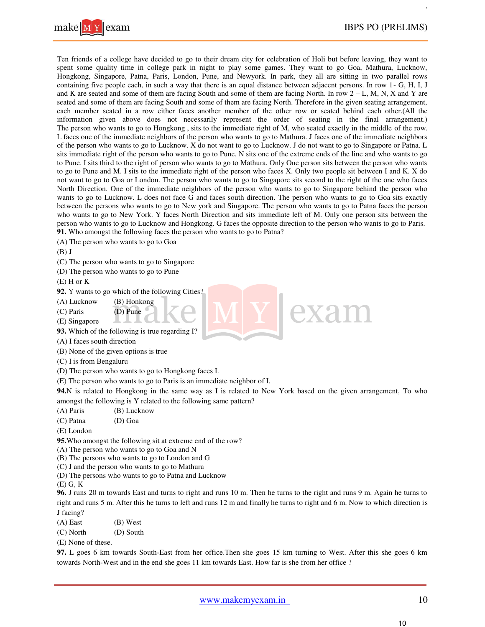

Ten friends of a college have decided to go to their dream city for celebration of Holi but before leaving, they want to spent some quality time in college park in night to play some games. They want to go Goa, Mathura, Lucknow, Hongkong, Singapore, Patna, Paris, London, Pune, and Newyork. In park, they all are sitting in two parallel rows containing five people each, in such a way that there is an equal distance between adjacent persons. In row 1- G, H, I, J and K are seated and some of them are facing South and some of them are facing North. In row  $2 - L$ , M, N, X and Y are seated and some of them are facing South and some of them are facing North. Therefore in the given seating arrangement, each member seated in a row either faces another member of the other row or seated behind each other.(All the information given above does not necessarily represent the order of seating in the final arrangement.) The person who wants to go to Hongkong , sits to the immediate right of M, who seated exactly in the middle of the row. L faces one of the immediate neighbors of the person who wants to go to Mathura. J faces one of the immediate neighbors of the person who wants to go to Lucknow. X do not want to go to Lucknow. J do not want to go to Singapore or Patna. L sits immediate right of the person who wants to go to Pune. N sits one of the extreme ends of the line and who wants to go to Pune. I sits third to the right of person who wants to go to Mathura. Only One person sits between the person who wants to go to Pune and M. I sits to the immediate right of the person who faces X. Only two people sit between I and K. X do not want to go to Goa or London. The person who wants to go to Singapore sits second to the right of the one who faces North Direction. One of the immediate neighbors of the person who wants to go to Singapore behind the person who wants to go to Lucknow. L does not face G and faces south direction. The person who wants to go to Goa sits exactly between the persons who wants to go to New york and Singapore. The person who wants to go to Patna faces the person who wants to go to New York. Y faces North Direction and sits immediate left of M. Only one person sits between the person who wants to go to Lucknow and Hongkong. G faces the opposite direction to the person who wants to go to Paris. **91.** Who amongst the following faces the person who wants to go to Patna?

(A) The person who wants to go to Goa

 $(B)$  J

(C) The person who wants to go to Singapore

(D) The person who wants to go to Pune

 $(E)$  H or K

**92.** Y wants to go which of the following Cities?

(A) Lucknow (B) Honkong

(C) Paris (D) Pune

(E) Singapore

**93.** Which of the following is true regarding I?

(A) I faces south direction

(B) None of the given options is true

(C) I is from Bengaluru

(D) The person who wants to go to Hongkong faces I.

(E) The person who wants to go to Paris is an immediate neighbor of I.

**94.**N is related to Hongkong in the same way as I is related to New York based on the given arrangement, To who amongst the following is Y related to the following same pattern?

(A) Paris (B) Lucknow

(C) Patna (D) Goa

(E) London

**95.**Who amongst the following sit at extreme end of the row?

(A) The person who wants to go to Goa and N

(B) The persons who wants to go to London and G

(C) J and the person who wants to go to Mathura

(D) The persons who wants to go to Patna and Lucknow

(E) G, K

**96.** J runs 20 m towards East and turns to right and runs 10 m. Then he turns to the right and runs 9 m. Again he turns to right and runs 5 m. After this he turns to left and runs 12 m and finally he turns to right and 6 m. Now to which direction is J facing?

(A) East (B) West

(C) North (D) South

(E) None of these.

**97.** L goes 6 km towards South-East from her office.Then she goes 15 km turning to West. After this she goes 6 km towards North-West and in the end she goes 11 km towards East. How far is she from her office ?